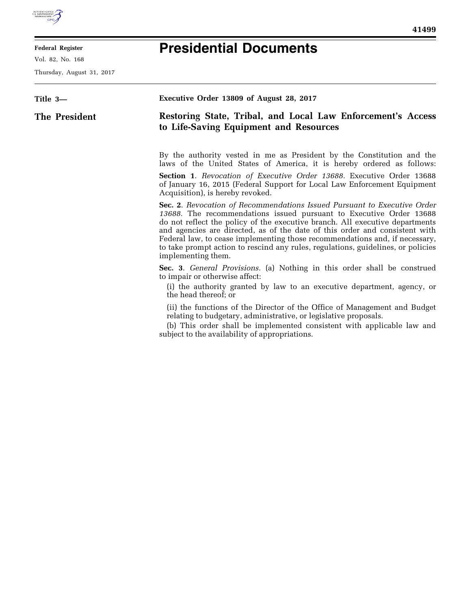

## **Federal Register**

Vol. 82, No. 168

Thursday, August 31, 2017

| 71<br>и |  |
|---------|--|
|---------|--|

۰

## **Presidential Documents**

| Title 3-      | Executive Order 13809 of August 28, 2017                                                                                                                                                                                                                                                                                                                                                                                                                                                                |
|---------------|---------------------------------------------------------------------------------------------------------------------------------------------------------------------------------------------------------------------------------------------------------------------------------------------------------------------------------------------------------------------------------------------------------------------------------------------------------------------------------------------------------|
| The President | Restoring State, Tribal, and Local Law Enforcement's Access<br>to Life-Saving Equipment and Resources                                                                                                                                                                                                                                                                                                                                                                                                   |
|               |                                                                                                                                                                                                                                                                                                                                                                                                                                                                                                         |
|               | By the authority vested in me as President by the Constitution and the<br>laws of the United States of America, it is hereby ordered as follows:                                                                                                                                                                                                                                                                                                                                                        |
|               | <b>Section 1.</b> Revocation of Executive Order 13688. Executive Order 13688<br>of January 16, 2015 (Federal Support for Local Law Enforcement Equipment<br>Acquisition), is hereby revoked.                                                                                                                                                                                                                                                                                                            |
|               | Sec. 2. Revocation of Recommendations Issued Pursuant to Executive Order<br>13688. The recommendations issued pursuant to Executive Order 13688<br>do not reflect the policy of the executive branch. All executive departments<br>and agencies are directed, as of the date of this order and consistent with<br>Federal law, to cease implementing those recommendations and, if necessary,<br>to take prompt action to rescind any rules, regulations, guidelines, or policies<br>implementing them. |
|               | Sec. 3. General Provisions. (a) Nothing in this order shall be construed<br>to impair or otherwise affect:<br>(i) the authority granted by law to an executive department, agency, or<br>the head thereof; or                                                                                                                                                                                                                                                                                           |
|               | (ii) the functions of the Director of the Office of Management and Budget<br>relating to budgetary, administrative, or legislative proposals.<br>(b) This order shall be implemented consistent with applicable law and<br>subject to the availability of appropriations.                                                                                                                                                                                                                               |
|               |                                                                                                                                                                                                                                                                                                                                                                                                                                                                                                         |
|               |                                                                                                                                                                                                                                                                                                                                                                                                                                                                                                         |
|               |                                                                                                                                                                                                                                                                                                                                                                                                                                                                                                         |
|               |                                                                                                                                                                                                                                                                                                                                                                                                                                                                                                         |
|               |                                                                                                                                                                                                                                                                                                                                                                                                                                                                                                         |
|               |                                                                                                                                                                                                                                                                                                                                                                                                                                                                                                         |
|               |                                                                                                                                                                                                                                                                                                                                                                                                                                                                                                         |
|               |                                                                                                                                                                                                                                                                                                                                                                                                                                                                                                         |